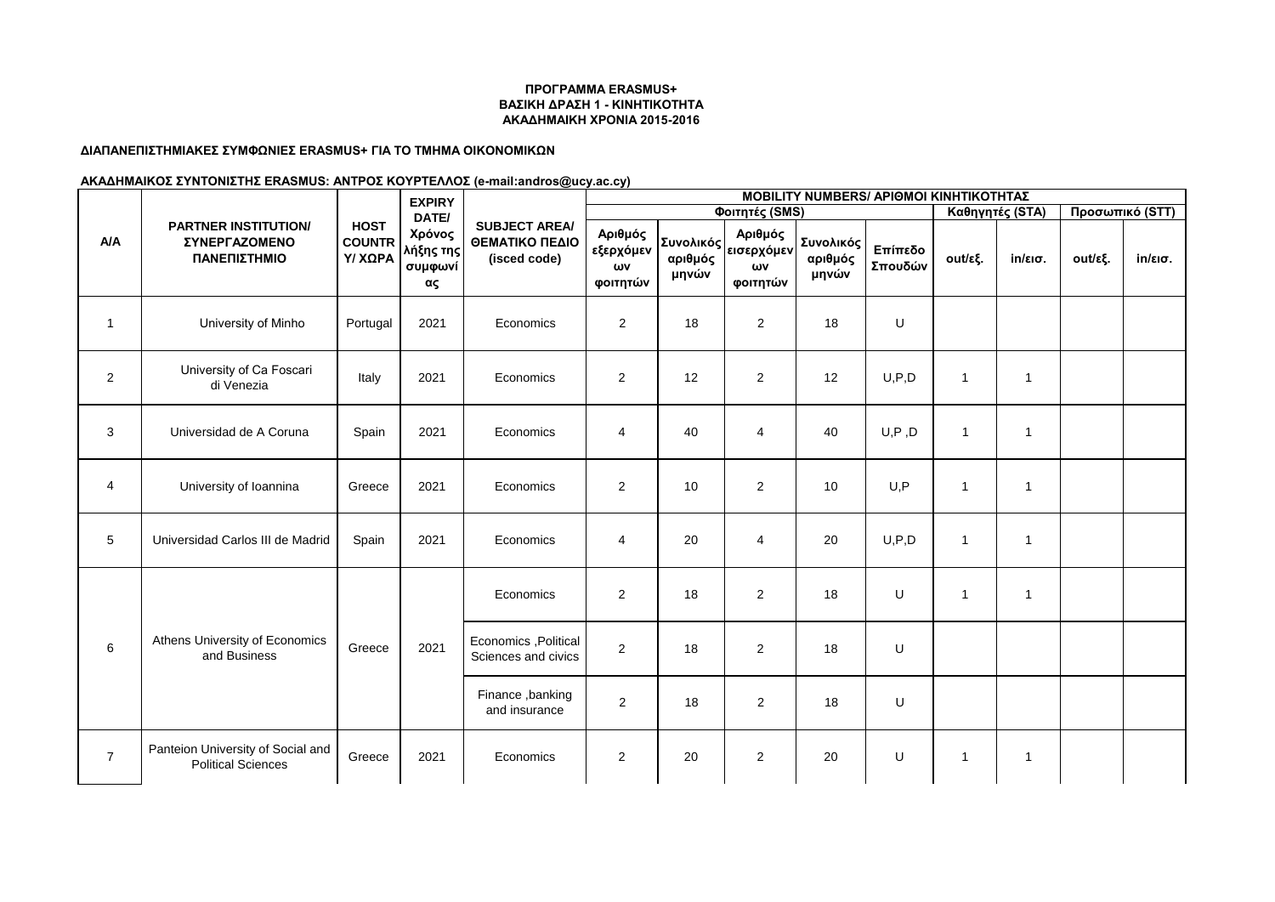### **ΔΙΑΠΑΝΕΠΙΣΤΗΜΙΑΚΕΣ ΣΥΜΦΩΝΙΕΣ ERASMUS+ ΓΙΑ ΤΟ ΤΜΗΜΑ ΟΙΚΟΝΟΜΙΚΩΝ**

|                | <b>PARTNER INSTITUTION/</b><br><b>ΣΥΝΕΡΓΑΖΟΜΕΝΟ</b><br>ΠΑΝΕΠΙΣΤΗΜΙΟ | <b>HOST</b><br><b>COUNTR</b><br><b>Y/ XQPA</b> | <b>EXPIRY</b><br>DATE/<br>Χρόνος<br>λήξης της<br>συμφωνί<br>ας | <b>SUBJECT AREA/</b><br>ΘΕΜΑΤΙΚΟ ΠΕΔΙΟ<br>(isced code) | <b>MOBILITY NUMBERS/ APIOMOI KINHTIKOTHTAZ</b> |                  |                                                         |                               |                    |                          |                   |                 |                   |  |  |
|----------------|---------------------------------------------------------------------|------------------------------------------------|----------------------------------------------------------------|--------------------------------------------------------|------------------------------------------------|------------------|---------------------------------------------------------|-------------------------------|--------------------|--------------------------|-------------------|-----------------|-------------------|--|--|
|                |                                                                     |                                                |                                                                |                                                        |                                                |                  | Φοιτητές (SMS)                                          |                               |                    | Καθηγητές (STA)          |                   | Προσωπικό (STT) |                   |  |  |
| <b>A/A</b>     |                                                                     |                                                |                                                                |                                                        | Αριθμός<br>εξερχόμεν<br>ωv<br>φοιτητών         | αριθμός<br>μηνών | Αριθμός<br> Συνολικός <br> εισερχόμεν<br>ωv<br>φοιτητών | Συνολικός<br>αριθμός<br>μηνών | Επίπεδο<br>Σπουδών | out/εξ.                  | $in/\epsilon$ ισ. | out/εξ.         | $in/\epsilon$ ισ. |  |  |
| $\mathbf{1}$   | University of Minho                                                 | Portugal                                       | 2021                                                           | Economics                                              | $\overline{2}$                                 | 18               | $\overline{2}$                                          | 18                            | U                  |                          |                   |                 |                   |  |  |
| 2              | University of Ca Foscari<br>di Venezia                              | Italy                                          | 2021                                                           | Economics                                              | $\overline{2}$                                 | 12               | $\overline{\mathbf{c}}$                                 | 12                            | U, P, D            | $\mathbf 1$              | $\mathbf{1}$      |                 |                   |  |  |
| 3              | Universidad de A Coruna                                             | Spain                                          | 2021                                                           | Economics                                              | 4                                              | 40               | 4                                                       | 40                            | U, P, D            | $\overline{1}$           | $\mathbf{1}$      |                 |                   |  |  |
| $\overline{4}$ | University of Ioannina                                              | Greece                                         | 2021                                                           | Economics                                              | $\overline{2}$                                 | 10               | 2                                                       | 10                            | U, P               | $\overline{1}$           | $\mathbf{1}$      |                 |                   |  |  |
| 5              | Universidad Carlos III de Madrid                                    | Spain                                          | 2021                                                           | Economics                                              | 4                                              | 20               | 4                                                       | 20                            | U, P, D            | $\mathbf{1}$             | $\mathbf{1}$      |                 |                   |  |  |
|                | Athens University of Economics<br>and Business                      | Greece                                         | 2021                                                           | Economics                                              | $\overline{2}$                                 | 18               | $\overline{2}$                                          | 18                            | U                  | $\mathbf 1$              | $\mathbf{1}$      |                 |                   |  |  |
| 6              |                                                                     |                                                |                                                                | Economics , Political<br>Sciences and civics           | $\overline{2}$                                 | 18               | $\overline{2}$                                          | 18                            | U                  |                          |                   |                 |                   |  |  |
|                |                                                                     |                                                |                                                                | Finance, banking<br>and insurance                      | $\overline{2}$                                 | 18               | $\overline{2}$                                          | 18                            | U                  |                          |                   |                 |                   |  |  |
| $\overline{7}$ | Panteion University of Social and<br><b>Political Sciences</b>      | Greece                                         | 2021                                                           | Economics                                              | $\overline{2}$                                 | 20               | $\overline{\mathbf{c}}$                                 | 20                            | U                  | $\overline{\phantom{a}}$ | $\mathbf{1}$      |                 |                   |  |  |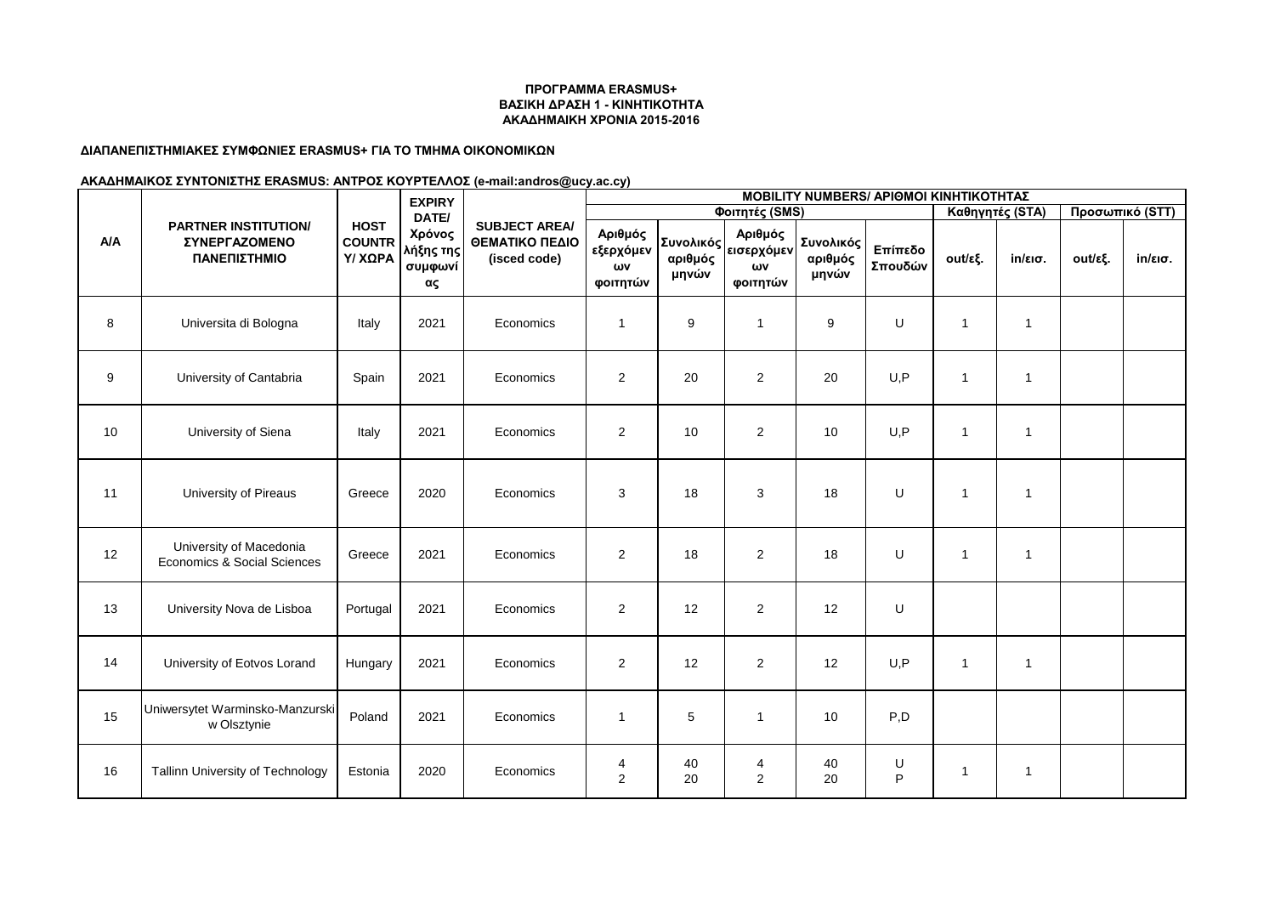### **ΔΙΑΠΑΝΕΠΙΣΤΗΜΙΑΚΕΣ ΣΥΜΦΩΝΙΕΣ ERASMUS+ ΓΙΑ ΤΟ ΤΜΗΜΑ ΟΙΚΟΝΟΜΙΚΩΝ**

|            | <b>PARTNER INSTITUTION/</b><br>ΣΥΝΕΡΓΑΖΟΜΕΝΟ<br>ΠΑΝΕΠΙΣΤΗΜΙΟ | <b>HOST</b><br><b>COUNTR</b><br><b>Y/ XQPA</b> | <b>EXPIRY</b><br>DATE/<br>Χρόνος<br>λήξης της<br>συμφωνί<br>ας | <b>SUBJECT AREA/</b><br>ΘΕΜΑΤΙΚΟ ΠΕΔΙΟ<br>(isced code) | <b>MOBILITY NUMBERS/ APIOMOI KINHTIKOTHTAΣ</b> |                                      |                                         |                               |                    |                |                   |         |                   |  |  |
|------------|--------------------------------------------------------------|------------------------------------------------|----------------------------------------------------------------|--------------------------------------------------------|------------------------------------------------|--------------------------------------|-----------------------------------------|-------------------------------|--------------------|----------------|-------------------|---------|-------------------|--|--|
|            |                                                              |                                                |                                                                |                                                        |                                                |                                      | Φοιτητές (SMS)                          |                               | Καθηγητές (STA)    |                | Προσωπικό (STT)   |         |                   |  |  |
| <b>A/A</b> |                                                              |                                                |                                                                |                                                        | Αριθμός<br>εξερχόμεν<br>ωv<br>φοιτητών         | <b>Συνολικός</b><br>αριθμός<br>μηνών | Αριθμός<br>εισερχόμεν<br>ωv<br>φοιτητών | Συνολικός<br>αριθμός<br>μηνών | Επίπεδο<br>Σπουδών | out/εξ.        | $in/\epsilon$ ισ. | out/εξ. | $in/\epsilon$ ισ. |  |  |
| 8          | Universita di Bologna                                        | Italy                                          | 2021                                                           | Economics                                              | $\mathbf{1}$                                   | 9                                    | 1                                       | 9                             | U                  | 1              | $\mathbf{1}$      |         |                   |  |  |
| 9          | University of Cantabria                                      | Spain                                          | 2021                                                           | Economics                                              | $\overline{2}$                                 | 20                                   | $\overline{2}$                          | 20                            | U, P               | $\overline{1}$ | $\mathbf{1}$      |         |                   |  |  |
| 10         | University of Siena                                          | Italy                                          | 2021                                                           | Economics                                              | $\overline{2}$                                 | 10                                   | $\overline{2}$                          | 10                            | U, P               | $\mathbf{1}$   | $\mathbf{1}$      |         |                   |  |  |
| 11         | University of Pireaus                                        | Greece                                         | 2020                                                           | Economics                                              | 3                                              | 18                                   | 3                                       | 18                            | U                  | $\overline{1}$ | $\mathbf{1}$      |         |                   |  |  |
| 12         | University of Macedonia<br>Economics & Social Sciences       | Greece                                         | 2021                                                           | Economics                                              | $\overline{2}$                                 | 18                                   | $\overline{2}$                          | 18                            | U                  | $\overline{1}$ | $\mathbf{1}$      |         |                   |  |  |
| 13         | University Nova de Lisboa                                    | Portugal                                       | 2021                                                           | Economics                                              | $\overline{c}$                                 | 12                                   | $\overline{c}$                          | 12                            | U                  |                |                   |         |                   |  |  |
| 14         | University of Eotvos Lorand                                  | Hungary                                        | 2021                                                           | Economics                                              | 2                                              | 12                                   | $\overline{2}$                          | 12                            | U.P                | $\overline{1}$ | $\mathbf{1}$      |         |                   |  |  |
| 15         | Uniwersytet Warminsko-Manzurski<br>w Olsztynie               | Poland                                         | 2021                                                           | Economics                                              | $\mathbf{1}$                                   | 5                                    | $\mathbf{1}$                            | 10                            | P, D               |                |                   |         |                   |  |  |
| 16         | Tallinn University of Technology                             | Estonia                                        | 2020                                                           | Economics                                              | 4<br>$\overline{2}$                            | 40<br>20                             | 4<br>2                                  | 40<br>20                      | U<br>P             | 1              | $\mathbf{1}$      |         |                   |  |  |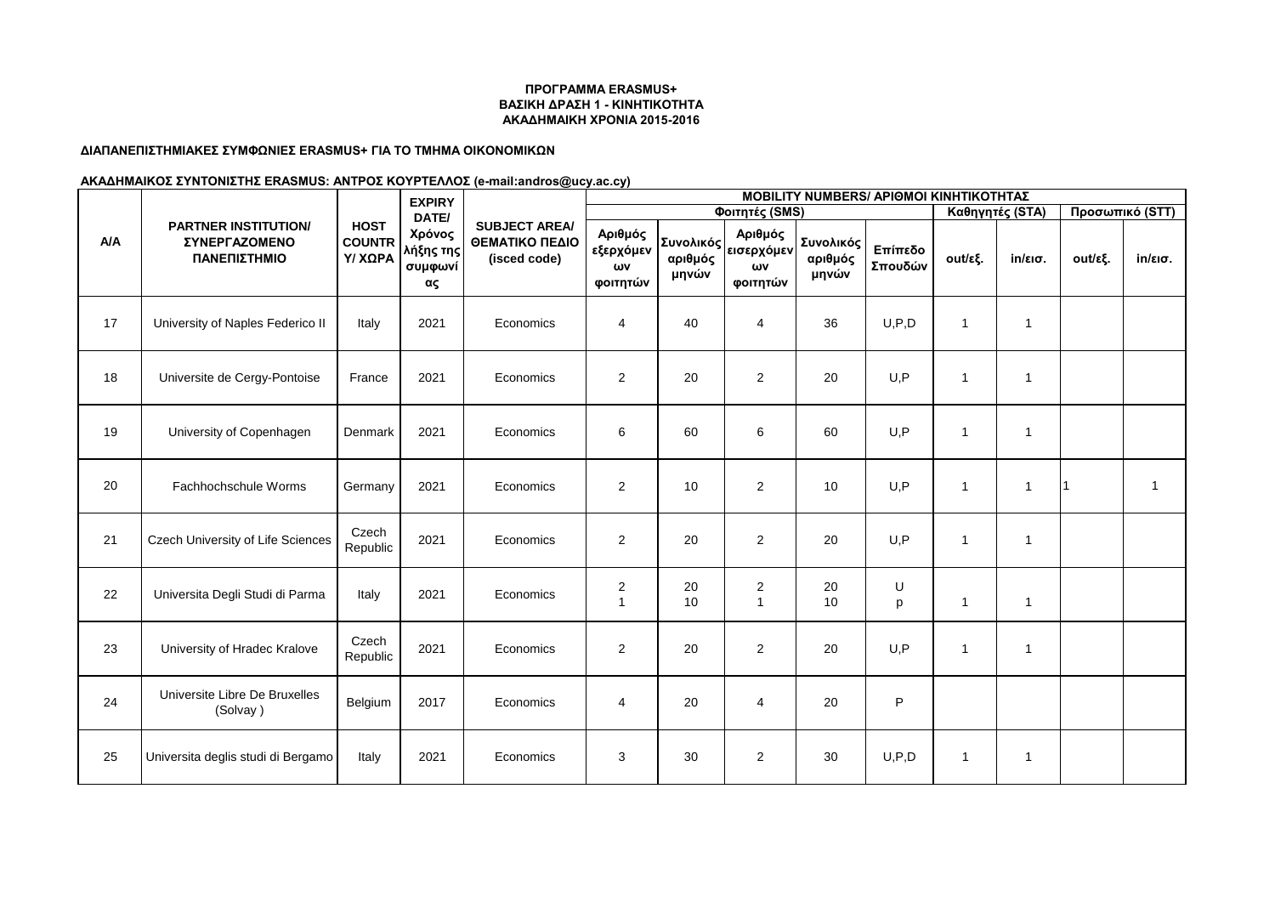### **ΔΙΑΠΑΝΕΠΙΣΤΗΜΙΑΚΕΣ ΣΥΜΦΩΝΙΕΣ ERASMUS+ ΓΙΑ ΤΟ ΤΜΗΜΑ ΟΙΚΟΝΟΜΙΚΩΝ**

|            | <b>PARTNER INSTITUTION/</b><br><b>ΣΥΝΕΡΓΑΖΟΜΕΝΟ</b><br>ΠΑΝΕΠΙΣΤΗΜΙΟ |                                                | <b>EXPIRY</b><br>DATE/<br>Χρόνος<br>λήξης της<br>συμφωνί<br>ας | <b>SUBJECT AREA/</b><br>ΘΕΜΑΤΙΚΟ ΠΕΔΙΟ<br>(isced code) | <b>MOBILITY NUMBERS/ APIOMOI KINHTIKOTHTAΣ</b><br>Φοιτητές (SMS) |                  |                                                         |                               |                    |                |                   |         |                   |  |  |
|------------|---------------------------------------------------------------------|------------------------------------------------|----------------------------------------------------------------|--------------------------------------------------------|------------------------------------------------------------------|------------------|---------------------------------------------------------|-------------------------------|--------------------|----------------|-------------------|---------|-------------------|--|--|
|            |                                                                     |                                                |                                                                |                                                        |                                                                  | Καθηγητές (STA)  |                                                         | Προσωπικό (STT)               |                    |                |                   |         |                   |  |  |
| <b>A/A</b> |                                                                     | <b>HOST</b><br><b>COUNTR</b><br><b>Y/ XQPA</b> |                                                                |                                                        | Αριθμός<br>εξερχόμεν<br>ωv<br>φοιτητών                           | αριθμός<br>μηνών | Αριθμός<br> Συνολικός <br> εισερχόμεν<br>ων<br>φοιτητών | Συνολικός<br>αριθμός<br>μηνών | Επίπεδο<br>Σπουδών | out/εξ.        | $in/\epsilon$ ισ. | out/εξ. | $in/\epsilon$ ισ. |  |  |
| 17         | University of Naples Federico II                                    | Italy                                          | 2021                                                           | Economics                                              | 4                                                                | 40               | $\overline{4}$                                          | 36                            | U, P, D            | $\mathbf{1}$   | $\mathbf{1}$      |         |                   |  |  |
| 18         | Universite de Cergy-Pontoise                                        | France                                         | 2021                                                           | Economics                                              | $\overline{c}$                                                   | 20               | $\overline{c}$                                          | 20                            | U, P               | $\overline{1}$ | $\mathbf{1}$      |         |                   |  |  |
| 19         | University of Copenhagen                                            | Denmark                                        | 2021                                                           | Economics                                              | 6                                                                | 60               | 6                                                       | 60                            | U, P               | $\overline{1}$ | $\mathbf{1}$      |         |                   |  |  |
| 20         | Fachhochschule Worms                                                | Germany                                        | 2021                                                           | Economics                                              | $\overline{2}$                                                   | 10               | $\overline{2}$                                          | 10                            | U, P               | $\overline{1}$ | $\mathbf{1}$      |         | $\mathbf{1}$      |  |  |
| 21         | Czech University of Life Sciences                                   | Czech<br>Republic                              | 2021                                                           | Economics                                              | $\overline{2}$                                                   | 20               | $\overline{2}$                                          | 20                            | U, P               | $\mathbf{1}$   | $\mathbf{1}$      |         |                   |  |  |
| 22         | Universita Degli Studi di Parma                                     | Italy                                          | 2021                                                           | Economics                                              | $\overline{c}$<br>$\mathbf{1}$                                   | 20<br>10         | 2<br>$\mathbf{1}$                                       | 20<br>10                      | U<br>p             | $\mathbf{1}$   | $\mathbf{1}$      |         |                   |  |  |
| 23         | University of Hradec Kralove                                        | Czech<br>Republic                              | 2021                                                           | Economics                                              | $\overline{2}$                                                   | 20               | $\overline{2}$                                          | 20                            | U, P               | $\mathbf{1}$   | $\mathbf{1}$      |         |                   |  |  |
| 24         | Universite Libre De Bruxelles<br>(Solvay)                           | Belgium                                        | 2017                                                           | Economics                                              | $\overline{4}$                                                   | 20               | $\overline{4}$                                          | 20                            | P                  |                |                   |         |                   |  |  |
| 25         | Universita deglis studi di Bergamo                                  | Italy                                          | 2021                                                           | Economics                                              | 3                                                                | 30               | $\overline{2}$                                          | 30                            | U, P, D            | $\mathbf{1}$   | $\mathbf{1}$      |         |                   |  |  |